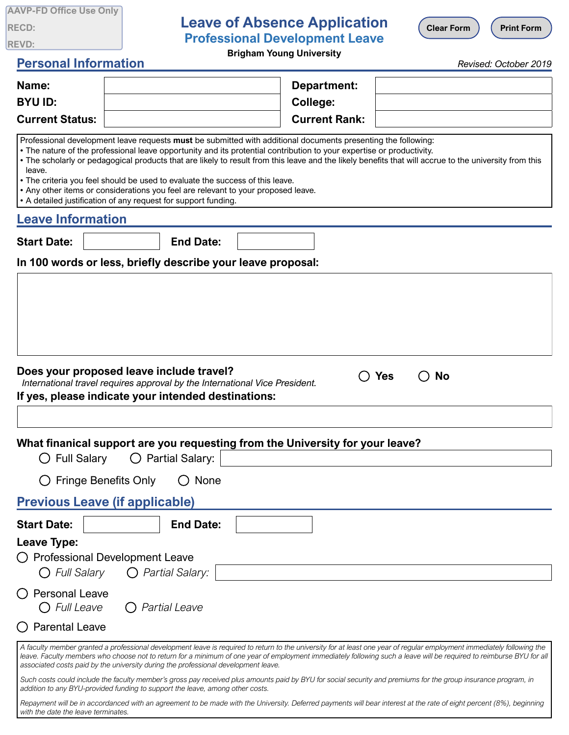| <b>AAVP-FD Office Use Only</b> |  |  |
|--------------------------------|--|--|
| <b>RECD:</b>                   |  |  |
| <b>REVD:</b>                   |  |  |

## **Leave of Absence Application Professional Development Leave**

**Clear Form**  $\left($  **Print Form** 

**Brigham Young University**

## **Personal Information**

*Revised: October 2019*

| Name:                                                                                                   |                                                                                                                                                                                                                                      | Department:                                                                                                                                                                                                                            |                                                                                                                                                                                                                                                                                                                                                 |
|---------------------------------------------------------------------------------------------------------|--------------------------------------------------------------------------------------------------------------------------------------------------------------------------------------------------------------------------------------|----------------------------------------------------------------------------------------------------------------------------------------------------------------------------------------------------------------------------------------|-------------------------------------------------------------------------------------------------------------------------------------------------------------------------------------------------------------------------------------------------------------------------------------------------------------------------------------------------|
| <b>BYU ID:</b>                                                                                          |                                                                                                                                                                                                                                      | <b>College:</b>                                                                                                                                                                                                                        |                                                                                                                                                                                                                                                                                                                                                 |
| <b>Current Status:</b>                                                                                  |                                                                                                                                                                                                                                      | <b>Current Rank:</b>                                                                                                                                                                                                                   |                                                                                                                                                                                                                                                                                                                                                 |
| leave.                                                                                                  | . The criteria you feel should be used to evaluate the success of this leave.<br>. Any other items or considerations you feel are relevant to your proposed leave.<br>• A detailed justification of any request for support funding. | Professional development leave requests must be submitted with additional documents presenting the following:<br>• The nature of the professional leave opportunity and its protential contribution to your expertise or productivity. | . The scholarly or pedagogical products that are likely to result from this leave and the likely benefits that will accrue to the university from this                                                                                                                                                                                          |
| <b>Leave Information</b>                                                                                |                                                                                                                                                                                                                                      |                                                                                                                                                                                                                                        |                                                                                                                                                                                                                                                                                                                                                 |
| <b>Start Date:</b>                                                                                      | <b>End Date:</b>                                                                                                                                                                                                                     |                                                                                                                                                                                                                                        |                                                                                                                                                                                                                                                                                                                                                 |
|                                                                                                         | In 100 words or less, briefly describe your leave proposal:                                                                                                                                                                          |                                                                                                                                                                                                                                        |                                                                                                                                                                                                                                                                                                                                                 |
|                                                                                                         | Does your proposed leave include travel?<br>International travel requires approval by the International Vice President.<br>If yes, please indicate your intended destinations:                                                       |                                                                                                                                                                                                                                        | <b>Yes</b><br>No                                                                                                                                                                                                                                                                                                                                |
|                                                                                                         |                                                                                                                                                                                                                                      |                                                                                                                                                                                                                                        |                                                                                                                                                                                                                                                                                                                                                 |
|                                                                                                         |                                                                                                                                                                                                                                      | What finanical support are you requesting from the University for your leave?                                                                                                                                                          |                                                                                                                                                                                                                                                                                                                                                 |
| <b>Full Salary</b>                                                                                      | $\bigcirc$ Partial Salary:                                                                                                                                                                                                           |                                                                                                                                                                                                                                        |                                                                                                                                                                                                                                                                                                                                                 |
|                                                                                                         | <b>Fringe Benefits Only</b><br>None                                                                                                                                                                                                  |                                                                                                                                                                                                                                        |                                                                                                                                                                                                                                                                                                                                                 |
|                                                                                                         | <b>Previous Leave (if applicable)</b>                                                                                                                                                                                                |                                                                                                                                                                                                                                        |                                                                                                                                                                                                                                                                                                                                                 |
| <b>Start Date:</b>                                                                                      | <b>End Date:</b>                                                                                                                                                                                                                     |                                                                                                                                                                                                                                        |                                                                                                                                                                                                                                                                                                                                                 |
| Leave Type:<br>O Full Salary<br><b>Personal Leave</b><br>$\bigcirc$ Full Leave<br><b>Parental Leave</b> | <b>Professional Development Leave</b><br>O Partial Salary:<br><b>Partial Leave</b>                                                                                                                                                   |                                                                                                                                                                                                                                        |                                                                                                                                                                                                                                                                                                                                                 |
|                                                                                                         | associated costs paid by the university during the professional development leave.                                                                                                                                                   |                                                                                                                                                                                                                                        | A faculty member granted a professional development leave is required to return to the university for at least one year of regular employment immediately following the<br>leave. Faculty members who choose not to return for a minimum of one year of employment immediately following such a leave will be required to reimburse BYU for all |

Such costs could include the faculty member's gross pay received plus amounts paid by BYU for social security and premiums for the group insurance program, in *addition to any BYU-provided funding to support the leave, among other costs.*

*Repayment will be in accordanced with an agreement to be made with the University. Deferred payments will bear interest at the rate of eight percent (8%), beginning with the date the leave terminates.*